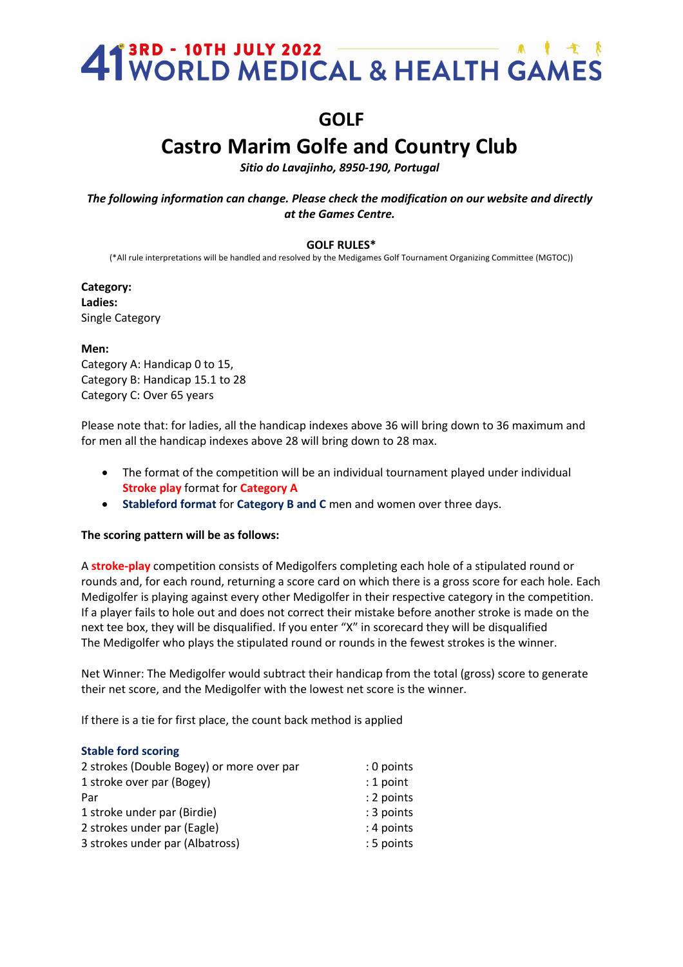### 41<sup>3RD</sup> - 10TH JULY 2022<br>41 WORLD MEDICAL & HEALTH GAMES

### **GOLF**

### **Castro Marim Golfe and Country Club**

*Sitio do Lavajinho, 8950-190, Portugal*

*The following information can change. Please check the modification on our website and directly at the Games Centre.*

#### **GOLF RULES\***

(\*All rule interpretations will be handled and resolved by the Medigames Golf Tournament Organizing Committee (MGTOC))

**Category: Ladies:**  Single Category

**Men:**

Category A: Handicap 0 to 15, Category B: Handicap 15.1 to 28 Category C: Over 65 years

Please note that: for ladies, all the handicap indexes above 36 will bring down to 36 maximum and for men all the handicap indexes above 28 will bring down to 28 max.

- The format of the competition will be an individual tournament played under individual **Stroke play** format for **Category A**
- **Stableford format** for **Category B and C** men and women over three days.

#### **The scoring pattern will be as follows:**

A **stroke-play** competition consists of Medigolfers completing each hole of a stipulated round or rounds and, for each round, returning a score card on which there is a gross score for each hole. Each Medigolfer is playing against every other Medigolfer in their respective category in the competition. If a player fails to hole out and does not correct their mistake before another stroke is made on the next tee box, they will be disqualified. If you enter "X" in scorecard they will be disqualified The Medigolfer who plays the stipulated round or rounds in the fewest strokes is the winner.

Net Winner: The Medigolfer would subtract their handicap from the total (gross) score to generate their net score, and the Medigolfer with the lowest net score is the winner.

If there is a tie for first place, the count back method is applied

#### **Stable ford scoring**

| 2 strokes (Double Bogey) or more over par | $: 0$ points |
|-------------------------------------------|--------------|
| 1 stroke over par (Bogey)                 | $: 1$ point  |
| Par                                       | : 2 points   |
| 1 stroke under par (Birdie)               | : 3 points   |
| 2 strokes under par (Eagle)               | : 4 points   |
| 3 strokes under par (Albatross)           | : 5 points   |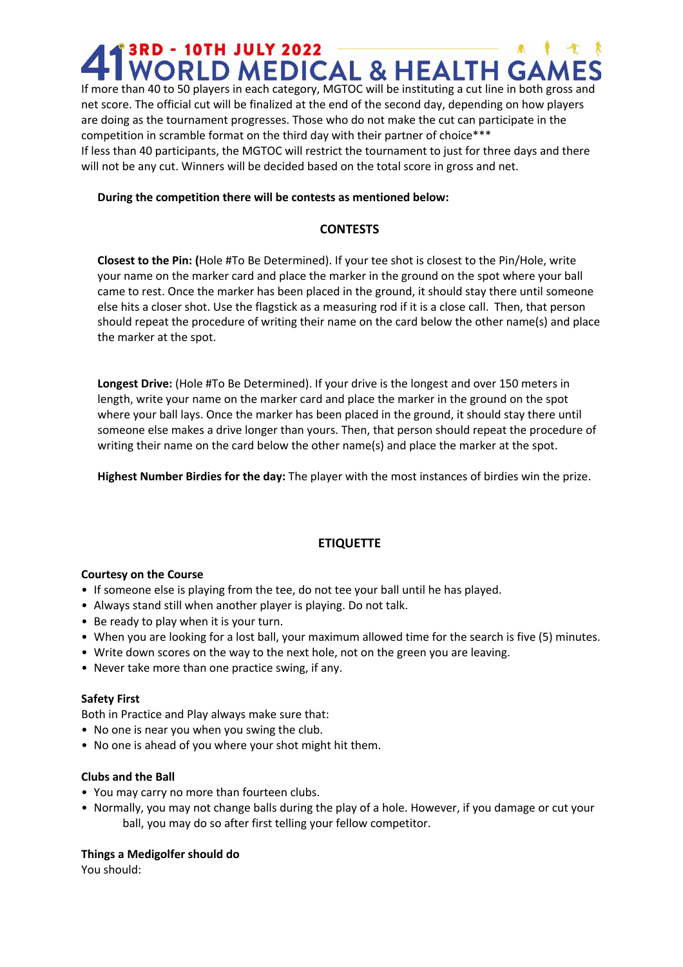# **AT 3RD - 10TH JULY 2022**<br>If more than 40 to 50 players in each category, MGTOC will be instituting a cut line in both gross and

net score. The official cut will be finalized at the end of the second day, depending on how players are doing as the tournament progresses. Those who do not make the cut can participate in the competition in scramble format on the third day with their partner of choice\*\*\* If less than 40 participants, the MGTOC will restrict the tournament to just for three days and there will not be any cut. Winners will be decided based on the total score in gross and net.

#### **During the competition there will be contests as mentioned below:**

#### **CONTESTS**

**Closest to the Pin: (**Hole #To Be Determined). If your tee shot is closest to the Pin/Hole, write your name on the marker card and place the marker in the ground on the spot where your ball came to rest. Once the marker has been placed in the ground, it should stay there until someone else hits a closer shot. Use the flagstick as a measuring rod if it is a close call. Then, that person should repeat the procedure of writing their name on the card below the other name(s) and place the marker at the spot.

**Longest Drive:** (Hole #To Be Determined). If your drive is the longest and over 150 meters in length, write your name on the marker card and place the marker in the ground on the spot where your ball lays. Once the marker has been placed in the ground, it should stay there until someone else makes a drive longer than yours. Then, that person should repeat the procedure of writing their name on the card below the other name(s) and place the marker at the spot.

**Highest Number Birdies for the day:** The player with the most instances of birdies win the prize.

#### **ETIQUETTE**

#### **Courtesy on the Course**

- If someone else is playing from the tee, do not tee your ball until he has played.
- Always stand still when another player is playing. Do not talk.
- Be ready to play when it is your turn.
- When you are looking for a lost ball, your maximum allowed time for the search is five (5) minutes.
- Write down scores on the way to the next hole, not on the green you are leaving.
- Never take more than one practice swing, if any.

#### **Safety First**

Both in Practice and Play always make sure that:

- No one is near you when you swing the club.
- No one is ahead of you where your shot might hit them.

#### **Clubs and the Ball**

- You may carry no more than fourteen clubs.
- Normally, you may not change balls during the play of a hole. However, if you damage or cut your ball, you may do so after first telling your fellow competitor.

#### **Things a Medigolfer should do**

You should: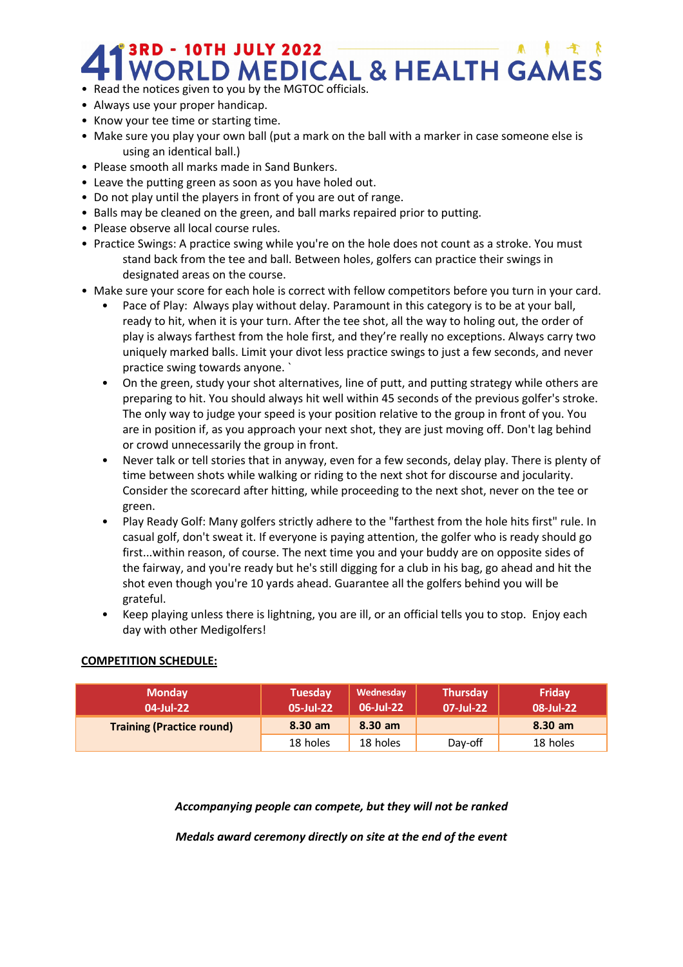# **41 SRD - 10TH JULY 2022**<br>• Read the notices given to you by the MGTOC officials.

- 
- Always use your proper handicap.
- Know your tee time or starting time.
- Make sure you play your own ball (put a mark on the ball with a marker in case someone else is using an identical ball.)
- Please smooth all marks made in Sand Bunkers.
- Leave the putting green as soon as you have holed out.
- Do not play until the players in front of you are out of range.
- Balls may be cleaned on the green, and ball marks repaired prior to putting.
- Please observe all local course rules.
- Practice Swings: A practice swing while you're on the hole does not count as a stroke. You must stand back from the tee and ball. Between holes, golfers can practice their swings in designated areas on the course.
- Make sure your score for each hole is correct with fellow competitors before you turn in your card.
	- Pace of Play: Always play without delay. Paramount in this category is to be at your ball, ready to hit, when it is your turn. After the tee shot, all the way to holing out, the order of play is always farthest from the hole first, and they're really no exceptions. Always carry two uniquely marked balls. Limit your divot less practice swings to just a few seconds, and never practice swing towards anyone. `
	- On the green, study your shot alternatives, line of putt, and putting strategy while others are preparing to hit. You should always hit well within 45 seconds of the previous golfer's stroke. The only way to judge your speed is your position relative to the group in front of you. You are in position if, as you approach your next shot, they are just moving off. Don't lag behind or crowd unnecessarily the group in front.
	- Never talk or tell stories that in anyway, even for a few seconds, delay play. There is plenty of time between shots while walking or riding to the next shot for discourse and jocularity. Consider the scorecard after hitting, while proceeding to the next shot, never on the tee or green.
	- Play Ready Golf: Many golfers strictly adhere to the "farthest from the hole hits first" rule. In casual golf, don't sweat it. If everyone is paying attention, the golfer who is ready should go first...within reason, of course. The next time you and your buddy are on opposite sides of the fairway, and you're ready but he's still digging for a club in his bag, go ahead and hit the shot even though you're 10 yards ahead. Guarantee all the golfers behind you will be grateful.
	- Keep playing unless there is lightning, you are ill, or an official tells you to stop. Enjoy each day with other Medigolfers!

#### **COMPETITION SCHEDULE:**

| <b>Monday</b><br>04-Jul-22       | Tuesday<br>05-Jul-22 | Wednesday<br>06-Jul-22 | <b>Thursday</b><br>07-Jul-22 | Friday<br>08-Jul-22 |
|----------------------------------|----------------------|------------------------|------------------------------|---------------------|
| <b>Training (Practice round)</b> | $8.30$ am            | $8.30$ am              |                              | $8.30$ am           |
|                                  | 18 holes             | 18 holes               | Day-off                      | 18 holes            |

*Accompanying people can compete, but they will not be ranked*

*Medals award ceremony directly on site at the end of the event*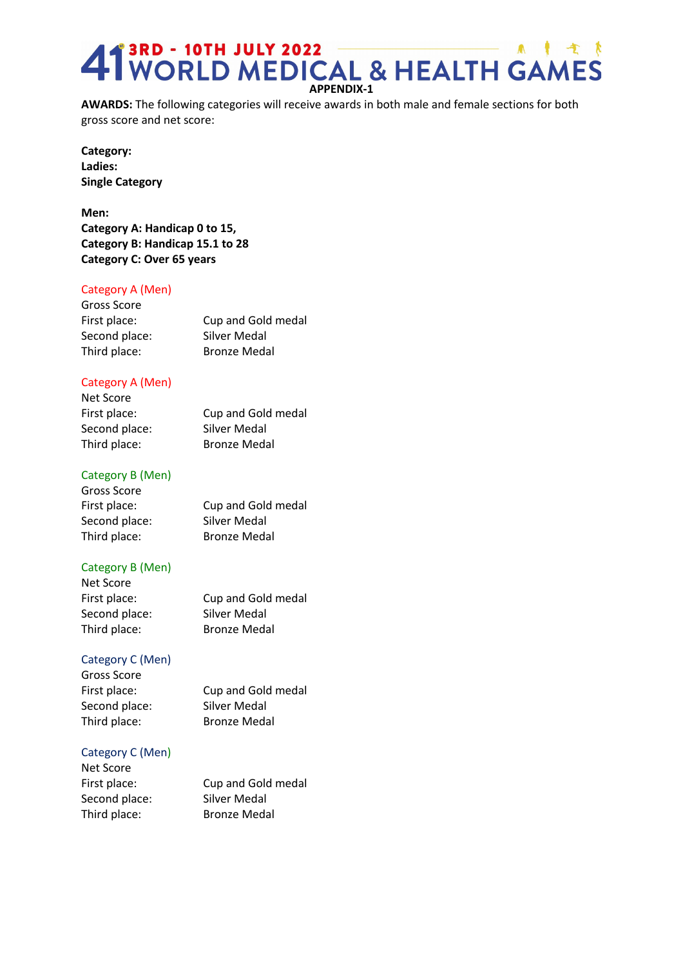## **APPENDIX-1 APPENDIX-1**<br>WORLD MEDICAL & HEALTH GAMES

**AWARDS:** The following categories will receive awards in both male and female sections for both gross score and net score:

**Category: Ladies: Single Category**

**Men: Category A: Handicap 0 to 15, Category B: Handicap 15.1 to 28 Category C: Over 65 years**

#### Category A (Men)

| Gross Score   |                     |
|---------------|---------------------|
| First place:  | Cup and Gold medal  |
| Second place: | Silver Medal        |
| Third place:  | <b>Bronze Medal</b> |

#### Category A (Men)

| Cup and Gold medal  |
|---------------------|
| <b>Silver Medal</b> |
| <b>Bronze Medal</b> |
|                     |

#### Category B (Men)

| Gross Score   |                     |
|---------------|---------------------|
| First place:  | Cup and Gold medal  |
| Second place: | Silver Medal        |
| Third place:  | <b>Bronze Medal</b> |

#### Category B (Men)

| Net Score     |                     |
|---------------|---------------------|
| First place:  | Cup and Gold medal  |
| Second place: | Silver Medal        |
| Third place:  | <b>Bronze Medal</b> |

#### Category C (Men)

Gross Score Second place: Silver Medal Third place: Bronze Medal

First place: Cup and Gold medal

#### Category C (Men)

Net Score Second place: Silver Medal Third place: Bronze Medal

First place: Cup and Gold medal